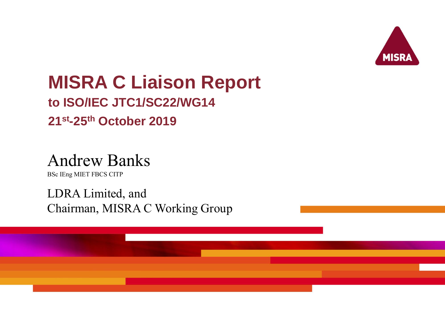

# **MISRA C Liaison Report**

### **to ISO/IEC JTC1/SC22/WG14 21st-25th October 2019**

## Andrew Banks

BSc IEng MIET FBCS CITP

LDRA Limited, and Chairman, MISRA C Working Group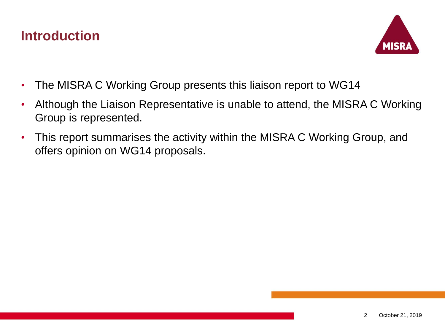#### **Introduction**



- The MISRA C Working Group presents this liaison report to WG14
- Although the Liaison Representative is unable to attend, the MISRA C Working Group is represented.
- This report summarises the activity within the MISRA C Working Group, and offers opinion on WG14 proposals.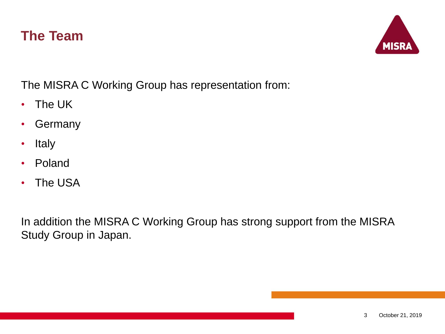#### **The Team**



The MISRA C Working Group has representation from:

- The UK
- Germany
- Italy
- Poland
- The USA

In addition the MISRA C Working Group has strong support from the MISRA Study Group in Japan.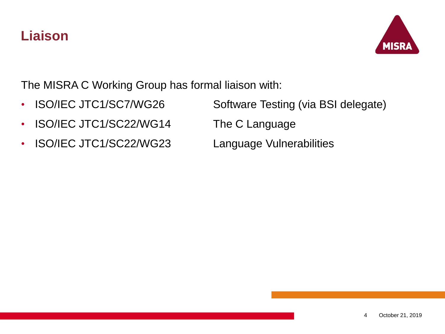#### **Liaison**



The MISRA C Working Group has formal liaison with:

- 
- ISO/IEC JTC1/SC22/WG14 The C Language
- ISO/IEC JTC1/SC22/WG23 Language Vulnerabilities

• ISO/IEC JTC1/SC7/WG26 Software Testing (via BSI delegate)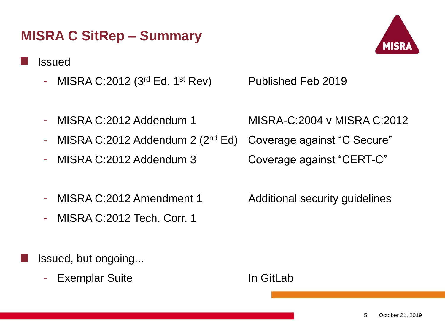#### **MISRA C SitRep – Summary**

#### Issued

- MISRA C:2012 (3<sup>rd</sup> Ed. 1<sup>st</sup> Rev) Published Feb 2019
- 
- MISRA C:2012 Addendum 2 (2<sup>nd</sup> Ed) Coverage against "C Secure"
- MISRA C:2012 Addendum 3 Coverage against "CERT-C"
- MISRA C:2012 Amendment 1 Additional security quidelines
- MISRA C:2012 Tech. Corr. 1

Issued, but ongoing...

- Exemplar Suite In GitLab

- MISRA C:2012 Addendum 1 MISRA-C:2004 v MISRA C:2012

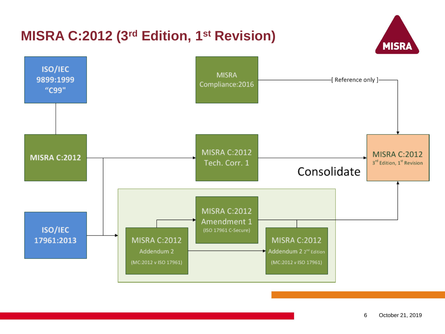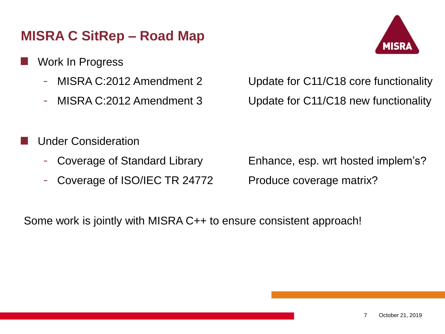#### **MISRA C SitRep – Road Map**

- Work In Progress
	-
	-



- MISRA C:2012 Amendment 2 Update for C11/C18 core functionality - MISRA C:2012 Amendment 3 Update for C11/C18 new functionality

- Under Consideration
	-
	- Coverage of ISO/IEC TR 24772 Produce coverage matrix?

- Coverage of Standard Library Enhance, esp. wrt hosted implem's?

Some work is jointly with MISRA C++ to ensure consistent approach!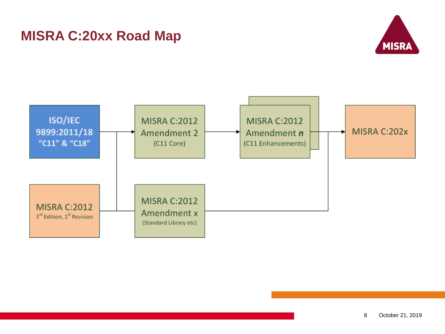#### **MISRA C:20xx Road Map**



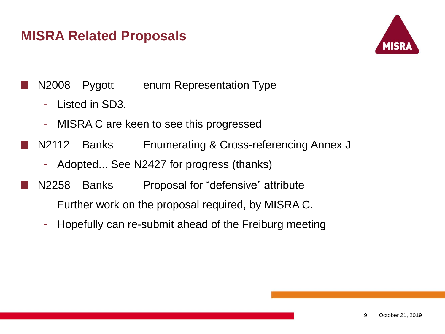#### **MISRA Related Proposals**



N2008 Pygott enum Representation Type

- Listed in SD3.
- MISRA C are keen to see this progressed
- N2112 Banks Enumerating & Cross-referencing Annex J
	- Adopted... See N2427 for progress (thanks)
- N2258 Banks Proposal for "defensive" attribute
	- Further work on the proposal required, by MISRA C.
	- Hopefully can re-submit ahead of the Freiburg meeting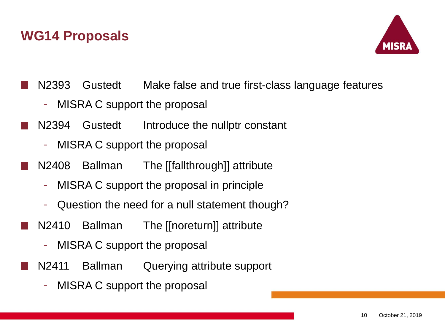

N2393 Gustedt Make false and true first-class language features

- MISRA C support the proposal
- N2394 Gustedt Introduce the nullptr constant
	- MISRA C support the proposal
- N2408 Ballman The [[fallthrough]] attribute
	- MISRA C support the proposal in principle
	- Question the need for a null statement though?
- N2410 Ballman The [[noreturn]] attribute
	- MISRA C support the proposal
- N2411 Ballman Querying attribute support
	- MISRA C support the proposal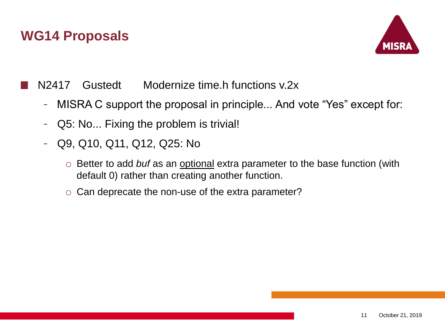

N2417 Gustedt Modernize time.h functions v.2x

- MISRA C support the proposal in principle... And vote "Yes" except for:
- Q5: No... Fixing the problem is trivial!
- Q9, Q10, Q11, Q12, Q25: No
	- o Better to add *buf* as an optional extra parameter to the base function (with default 0) rather than creating another function.
	- o Can deprecate the non-use of the extra parameter?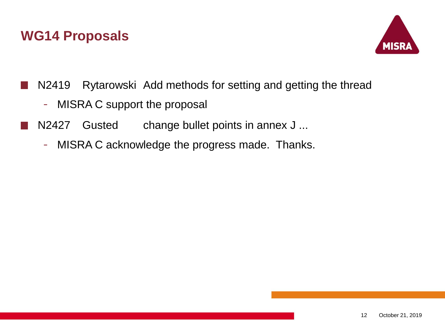

- N2419 Rytarowski Add methods for setting and getting the thread
	- MISRA C support the proposal
- N2427 Gusted change bullet points in annex J ...
	- MISRA C acknowledge the progress made. Thanks.